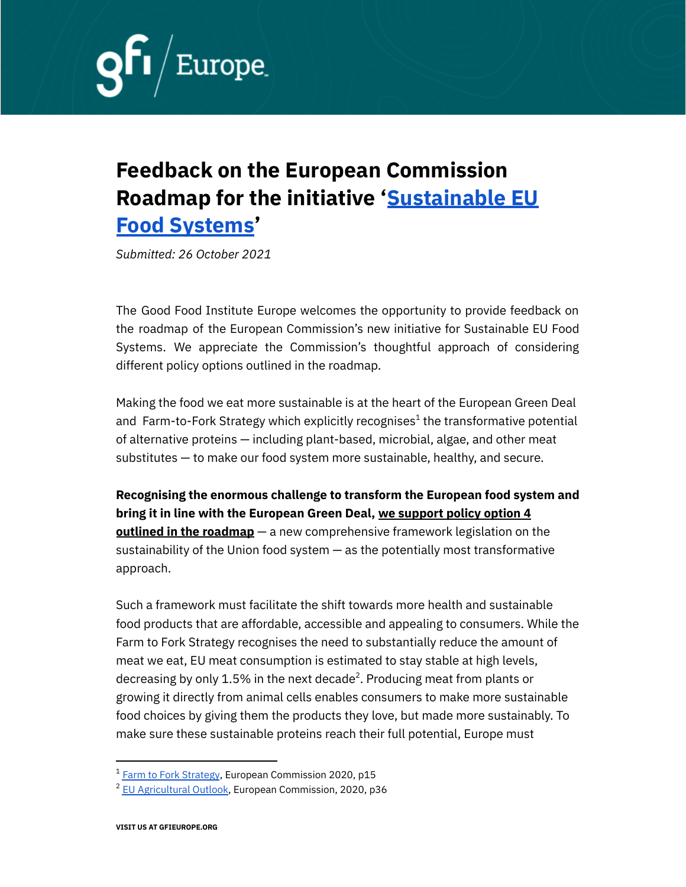

## **Feedback on the European Commission Roadmap for the initiative '[Sustainable](https://ec.europa.eu/info/law/better-regulation/have-your-say/initiatives/13174-Sustainable-EU-food-system-new-initiative_en) EU Food [Systems](https://ec.europa.eu/info/law/better-regulation/have-your-say/initiatives/13174-Sustainable-EU-food-system-new-initiative_en)'**

*Submitted: 26 October 2021*

The Good Food Institute Europe welcomes the opportunity to provide feedback on the roadmap of the European Commission's new initiative for Sustainable EU Food Systems. We appreciate the Commission's thoughtful approach of considering different policy options outlined in the roadmap.

Making the food we eat more sustainable is at the heart of the European Green Deal and Farm-to-Fork Strategy which explicitly recognises $^{\rm 1}$  the transformative potential of alternative proteins — including plant-based, microbial, algae, and other meat substitutes — to make our food system more sustainable, healthy, and secure.

**Recognising the enormous challenge to transform the European food system and bring it in line with the European Green Deal, we support policy option 4 outlined in the roadmap** — a new comprehensive framework legislation on the sustainability of the Union food system — as the potentially most transformative approach.

Such a framework must facilitate the shift towards more health and sustainable food products that are affordable, accessible and appealing to consumers. While the Farm to Fork Strategy recognises the need to substantially reduce the amount of meat we eat, EU meat consumption is estimated to stay stable at high levels, decreasing by only 1.5% in the next decade $^2$ . Producing meat from plants or growing it directly from animal cells enables consumers to make more sustainable food choices by giving them the products they love, but made more sustainably. To make sure these sustainable proteins reach their full potential, Europe must

 $1$  Farm to Fork [Strategy](https://eur-lex.europa.eu/resource.html?uri=cellar:ea0f9f73-9ab2-11ea-9d2d-01aa75ed71a1.0001.02/DOC_1&format=PDF), European Commission 2020, p15

<sup>&</sup>lt;sup>2</sup> EU [Agricultural](https://ec.europa.eu/info/sites/default/files/food-farming-fisheries/farming/documents/agricultural-outlook-2020-report_en.pdf#page=40) Outlook, European Commission, 2020, p36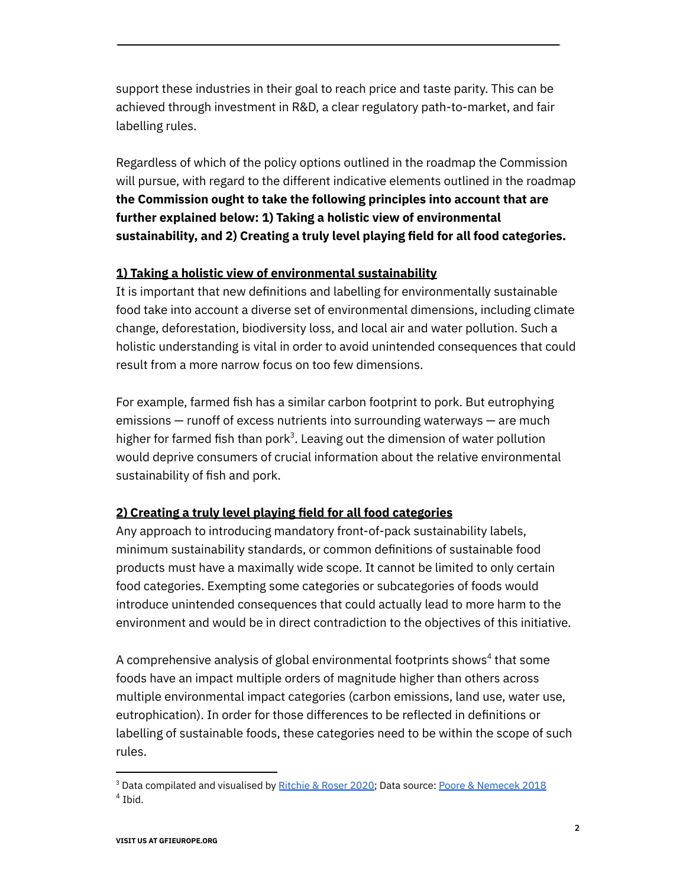support these industries in their goal to reach price and taste parity. This can be achieved through investment in R&D, a clear regulatory path-to-market, and fair labelling rules.

Regardless of which of the policy options outlined in the roadmap the Commission will pursue, with regard to the different indicative elements outlined in the roadmap **the Commission ought to take the following principles into account that are further explained below: 1) Taking a holistic view of environmental sustainability, and 2) Creating a truly level playing field for all food categories.**

## **1) Taking a holistic view of environmental sustainability**

It is important that new definitions and labelling for environmentally sustainable food take into account a diverse set of environmental dimensions, including climate change, deforestation, biodiversity loss, and local air and water pollution. Such a holistic understanding is vital in order to avoid unintended consequences that could result from a more narrow focus on too few dimensions.

For example, farmed fish has a similar carbon footprint to pork. But eutrophying emissions — runoff of excess nutrients into surrounding waterways — are much higher for farmed fish than pork<sup>3</sup>. Leaving out the dimension of water pollution would deprive consumers of crucial information about the relative environmental sustainability of fish and pork.

## **2) Creating a truly level playing field for all food categories**

Any approach to introducing mandatory front-of-pack sustainability labels, minimum sustainability standards, or common definitions of sustainable food products must have a maximally wide scope. It cannot be limited to only certain food categories. Exempting some categories or subcategories of foods would introduce unintended consequences that could actually lead to more harm to the environment and would be in direct contradiction to the objectives of this initiative.

A comprehensive analysis of global environmental footprints shows $^{\text{4}}$  that some foods have an impact multiple orders of magnitude higher than others across multiple environmental impact categories (carbon emissions, land use, water use, eutrophication). In order for those differences to be reflected in definitions or labelling of sustainable foods, these categories need to be within the scope of such rules.

 $<sup>4</sup>$  Ibid.</sup> <sup>3</sup> Data compilated and visualised by [Ritchie](https://ourworldindata.org/explorers/food-footprints?facet=none&country=Beef+%28beef+herd%29~Lamb+%26+Mutton~Beef+%28dairy+herd%29~Prawns+%28farmed%29~Cheese~Pig+Meat~Poultry+Meat~Eggs~Rice~Tofu+%28soybeans%29~Milk~Tomatoes~Maize~Wheat+%26+Rye~Peas~Bananas~Potatoes~Nuts~Apples~Barley~Beet+Sugar~Berries+%26+Grapes~Brassicas~Cane+Sugar~Cassava~Coffee~Citrus+Fruit~Dark+Chocolate~Fish+%28farmed%29~Groundnuts~Oatmeal~Onions+%26+Leeks~Other+Fruit~Other+Pulses~Other+Vegetables~Root+Vegetables~Soymilk&Environmental+impact=Carbon+footprint&Metric=Per+kilogram&By+stage+of+supply+chain=false) & Roser 2020; Data source: Poore & [Nemecek](https://science.sciencemag.org/content/360/6392/987) 2018